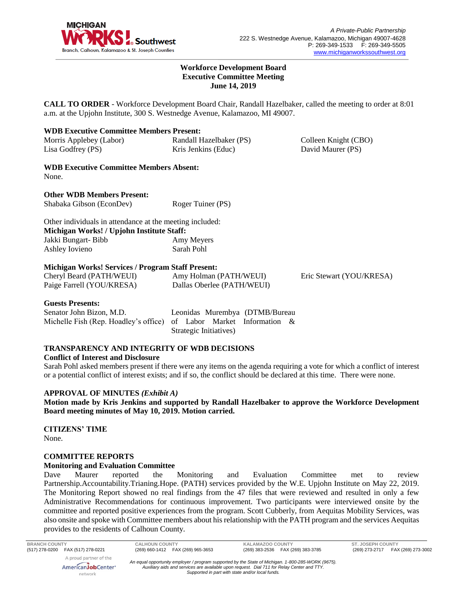

#### **Workforce Development Board Executive Committee Meeting June 14, 2019**

**CALL TO ORDER** - Workforce Development Board Chair, Randall Hazelbaker, called the meeting to order at 8:01 a.m. at the Upjohn Institute, 300 S. Westnedge Avenue, Kalamazoo, MI 49007.

| Morris Applebey (Labor) | Randall Hazelbaker (PS) | Colleen Knight (CBO) |
|-------------------------|-------------------------|----------------------|
| Lisa Godfrey (PS)       | Kris Jenkins (Educ)     | David Maurer (PS)    |

**WDB Executive Committee Members Absent:** None.

**Other WDB Members Present:** Shabaka Gibson (EconDev) Roger Tuiner (PS)

| Other individuals in attendance at the meeting included: |            |  |  |  |  |  |
|----------------------------------------------------------|------------|--|--|--|--|--|
| Michigan Works! / Upjohn Institute Staff:                |            |  |  |  |  |  |
| Jakki Bungart- Bibb                                      | Amy Meyers |  |  |  |  |  |
| Ashley Iovieno                                           | Sarah Pohl |  |  |  |  |  |

### **Michigan Works! Services / Program Staff Present:**

| Cheryl Beard (PATH/WEUI)  | Amy Holman (PATH/WEUI)     | Eric Stewart (YOU/KRESA) |
|---------------------------|----------------------------|--------------------------|
| Paige Farrell (YOU/KRESA) | Dallas Oberlee (PATH/WEUI) |                          |

# **Guests Presents:**

| Senator John Bizon, M.D.                                            |                        |  |  | Leonidas Murembya (DTMB/Bureau |  |
|---------------------------------------------------------------------|------------------------|--|--|--------------------------------|--|
| Michelle Fish (Rep. Hoadley's office) of Labor Market Information & |                        |  |  |                                |  |
|                                                                     | Strategic Initiatives) |  |  |                                |  |

# **TRANSPARENCY AND INTEGRITY OF WDB DECISIONS**

#### **Conflict of Interest and Disclosure**

Sarah Pohl asked members present if there were any items on the agenda requiring a vote for which a conflict of interest or a potential conflict of interest exists; and if so, the conflict should be declared at this time. There were none.

#### **APPROVAL OF MINUTES** *(Exhibit A)*

**Motion made by Kris Jenkins and supported by Randall Hazelbaker to approve the Workforce Development Board meeting minutes of May 10, 2019. Motion carried.** 

**CITIZENS' TIME** None.

#### **COMMITTEE REPORTS**

#### **Monitoring and Evaluation Committee**

Dave Maurer reported the Monitoring and Evaluation Committee met to review Partnership.Accountability.Trianing.Hope. (PATH) services provided by the W.E. Upjohn Institute on May 22, 2019. The Monitoring Report showed no real findings from the 47 files that were reviewed and resulted in only a few Administrative Recommendations for continuous improvement. Two participants were interviewed onsite by the committee and reported positive experiences from the program. Scott Cubberly, from Aequitas Mobility Services, was also onsite and spoke with Committee members about his relationship with the PATH program and the services Aequitas provides to the residents of Calhoun County.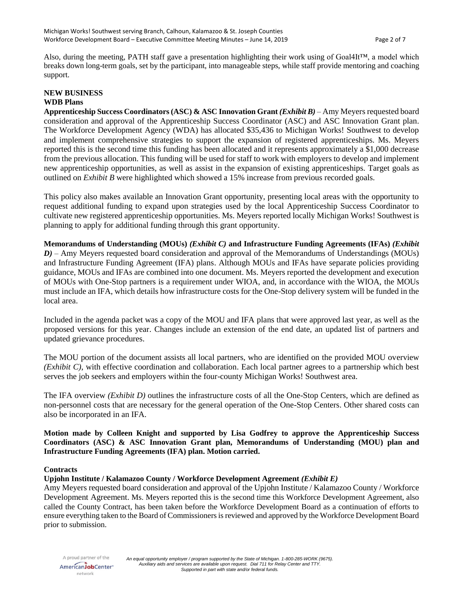Also, during the meeting, PATH staff gave a presentation highlighting their work using of Goal4It™, a model which breaks down long-term goals, set by the participant, into manageable steps, while staff provide mentoring and coaching support.

### **NEW BUSINESS WDB Plans**

**Apprenticeship Success Coordinators (ASC) & ASC Innovation Grant** *(Exhibit B)* – Amy Meyers requested board consideration and approval of the Apprenticeship Success Coordinator (ASC) and ASC Innovation Grant plan. The Workforce Development Agency (WDA) has allocated \$35,436 to Michigan Works! Southwest to develop and implement comprehensive strategies to support the expansion of registered apprenticeships. Ms. Meyers reported this is the second time this funding has been allocated and it represents approximately a \$1,000 decrease from the previous allocation. This funding will be used for staff to work with employers to develop and implement new apprenticeship opportunities, as well as assist in the expansion of existing apprenticeships. Target goals as outlined on *Exhibit B* were highlighted which showed a 15% increase from previous recorded goals.

This policy also makes available an Innovation Grant opportunity, presenting local areas with the opportunity to request additional funding to expand upon strategies used by the local Apprenticeship Success Coordinator to cultivate new registered apprenticeship opportunities. Ms. Meyers reported locally Michigan Works! Southwest is planning to apply for additional funding through this grant opportunity.

**Memorandums of Understanding (MOUs)** *(Exhibit C)* **and Infrastructure Funding Agreements (IFAs)** *(Exhibit D)* – Amy Meyers requested board consideration and approval of the Memorandums of Understandings (MOUs) and Infrastructure Funding Agreement (IFA) plans. Although MOUs and IFAs have separate policies providing guidance, MOUs and IFAs are combined into one document. Ms. Meyers reported the development and execution of MOUs with One-Stop partners is a requirement under WIOA, and, in accordance with the WIOA, the MOUs must include an IFA, which details how infrastructure costs for the One-Stop delivery system will be funded in the local area.

Included in the agenda packet was a copy of the MOU and IFA plans that were approved last year, as well as the proposed versions for this year. Changes include an extension of the end date, an updated list of partners and updated grievance procedures.

The MOU portion of the document assists all local partners, who are identified on the provided MOU overview *(Exhibit C)*, with effective coordination and collaboration. Each local partner agrees to a partnership which best serves the job seekers and employers within the four-county Michigan Works! Southwest area.

The IFA overview *(Exhibit D)* outlines the infrastructure costs of all the One-Stop Centers, which are defined as non-personnel costs that are necessary for the general operation of the One-Stop Centers. Other shared costs can also be incorporated in an IFA.

**Motion made by Colleen Knight and supported by Lisa Godfrey to approve the Apprenticeship Success Coordinators (ASC) & ASC Innovation Grant plan, Memorandums of Understanding (MOU) plan and Infrastructure Funding Agreements (IFA) plan. Motion carried.** 

# **Contracts**

# **Upjohn Institute / Kalamazoo County / Workforce Development Agreement** *(Exhibit E)*

Amy Meyers requested board consideration and approval of the Upjohn Institute / Kalamazoo County / Workforce Development Agreement. Ms. Meyers reported this is the second time this Workforce Development Agreement, also called the County Contract, has been taken before the Workforce Development Board as a continuation of efforts to ensure everything taken to the Board of Commissioners is reviewed and approved by the Workforce Development Board prior to submission.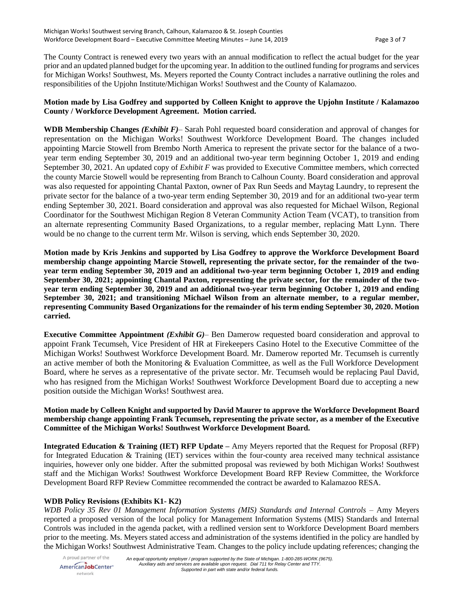The County Contract is renewed every two years with an annual modification to reflect the actual budget for the year prior and an updated planned budget for the upcoming year. In addition to the outlined funding for programs and services for Michigan Works! Southwest, Ms. Meyers reported the County Contract includes a narrative outlining the roles and responsibilities of the Upjohn Institute/Michigan Works! Southwest and the County of Kalamazoo.

# **Motion made by Lisa Godfrey and supported by Colleen Knight to approve the Upjohn Institute / Kalamazoo County / Workforce Development Agreement. Motion carried.**

**WDB Membership Changes** *(Exhibit F)*– Sarah Pohl requested board consideration and approval of changes for representation on the Michigan Works! Southwest Workforce Development Board. The changes included appointing Marcie Stowell from Brembo North America to represent the private sector for the balance of a twoyear term ending September 30, 2019 and an additional two-year term beginning October 1, 2019 and ending September 30, 2021. An updated copy of *Exhibit F* was provided to Executive Committee members, which corrected the county Marcie Stowell would be representing from Branch to Calhoun County. Board consideration and approval was also requested for appointing Chantal Paxton, owner of Pax Run Seeds and Maytag Laundry, to represent the private sector for the balance of a two-year term ending September 30, 2019 and for an additional two-year term ending September 30, 2021. Board consideration and approval was also requested for Michael Wilson, Regional Coordinator for the Southwest Michigan Region 8 Veteran Community Action Team (VCAT), to transition from an alternate representing Community Based Organizations, to a regular member, replacing Matt Lynn. There would be no change to the current term Mr. Wilson is serving, which ends September 30, 2020.

**Motion made by Kris Jenkins and supported by Lisa Godfrey to approve the Workforce Development Board membership change appointing Marcie Stowell, representing the private sector, for the remainder of the twoyear term ending September 30, 2019 and an additional two-year term beginning October 1, 2019 and ending September 30, 2021; appointing Chantal Paxton, representing the private sector, for the remainder of the twoyear term ending September 30, 2019 and an additional two-year term beginning October 1, 2019 and ending September 30, 2021; and transitioning Michael Wilson from an alternate member, to a regular member, representing Community Based Organizations for the remainder of his term ending September 30, 2020. Motion carried.**

**Executive Committee Appointment** *(Exhibit G)*– Ben Damerow requested board consideration and approval to appoint Frank Tecumseh, Vice President of HR at Firekeepers Casino Hotel to the Executive Committee of the Michigan Works! Southwest Workforce Development Board. Mr. Damerow reported Mr. Tecumseh is currently an active member of both the Monitoring & Evaluation Committee, as well as the Full Workforce Development Board, where he serves as a representative of the private sector. Mr. Tecumseh would be replacing Paul David, who has resigned from the Michigan Works! Southwest Workforce Development Board due to accepting a new position outside the Michigan Works! Southwest area.

**Motion made by Colleen Knight and supported by David Maurer to approve the Workforce Development Board membership change appointing Frank Tecumseh, representing the private sector, as a member of the Executive Committee of the Michigan Works! Southwest Workforce Development Board.**

**Integrated Education & Training (IET) RFP Update –** Amy Meyers reported that the Request for Proposal (RFP) for Integrated Education & Training (IET) services within the four-county area received many technical assistance inquiries, however only one bidder. After the submitted proposal was reviewed by both Michigan Works! Southwest staff and the Michigan Works! Southwest Workforce Development Board RFP Review Committee, the Workforce Development Board RFP Review Committee recommended the contract be awarded to Kalamazoo RESA.

# **WDB Policy Revisions (Exhibits K1- K2)**

*WDB Policy 35 Rev 01 Management Information Systems (MIS) Standards and Internal Controls* – Amy Meyers reported a proposed version of the local policy for Management Information Systems (MIS) Standards and Internal Controls was included in the agenda packet, with a redlined version sent to Workforce Development Board members prior to the meeting. Ms. Meyers stated access and administration of the systems identified in the policy are handled by the Michigan Works! Southwest Administrative Team. Changes to the policy include updating references; changing the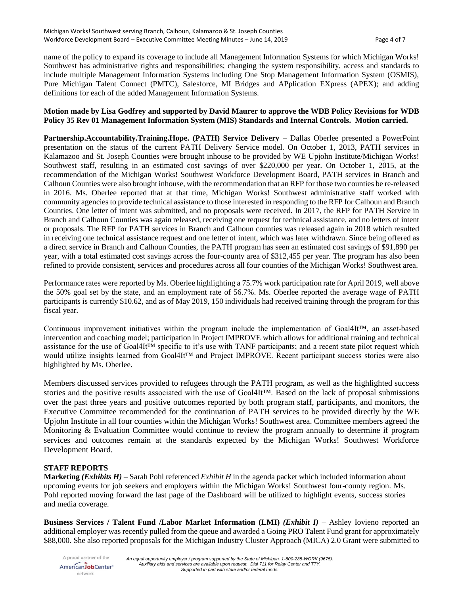name of the policy to expand its coverage to include all Management Information Systems for which Michigan Works! Southwest has administrative rights and responsibilities; changing the system responsibility, access and standards to include multiple Management Information Systems including One Stop Management Information System (OSMIS), Pure Michigan Talent Connect (PMTC), Salesforce, MI Bridges and APplication EXpress (APEX); and adding definitions for each of the added Management Information Systems.

#### **Motion made by Lisa Godfrey and supported by David Maurer to approve the WDB Policy Revisions for WDB Policy 35 Rev 01 Management Information System (MIS) Standards and Internal Controls. Motion carried.**

**Partnership.Accountability.Training.Hope. (PATH) Service Delivery –** Dallas Oberlee presented a PowerPoint presentation on the status of the current PATH Delivery Service model. On October 1, 2013, PATH services in Kalamazoo and St. Joseph Counties were brought inhouse to be provided by WE Upjohn Institute/Michigan Works! Southwest staff, resulting in an estimated cost savings of over \$220,000 per year. On October 1, 2015, at the recommendation of the Michigan Works! Southwest Workforce Development Board, PATH services in Branch and Calhoun Counties were also brought inhouse, with the recommendation that an RFP for those two counties be re-released in 2016. Ms. Oberlee reported that at that time, Michigan Works! Southwest administrative staff worked with community agencies to provide technical assistance to those interested in responding to the RFP for Calhoun and Branch Counties. One letter of intent was submitted, and no proposals were received. In 2017, the RFP for PATH Service in Branch and Calhoun Counties was again released, receiving one request for technical assistance, and no letters of intent or proposals. The RFP for PATH services in Branch and Calhoun counties was released again in 2018 which resulted in receiving one technical assistance request and one letter of intent, which was later withdrawn. Since being offered as a direct service in Branch and Calhoun Counties, the PATH program has seen an estimated cost savings of \$91,890 per year, with a total estimated cost savings across the four-county area of \$312,455 per year. The program has also been refined to provide consistent, services and procedures across all four counties of the Michigan Works! Southwest area.

Performance rates were reported by Ms. Oberlee highlighting a 75.7% work participation rate for April 2019, well above the 50% goal set by the state, and an employment rate of 56.7%. Ms. Oberlee reported the average wage of PATH participants is currently \$10.62, and as of May 2019, 150 individuals had received training through the program for this fiscal year.

Continuous improvement initiatives within the program include the implementation of Goal4It™, an asset-based intervention and coaching model; participation in Project IMPROVE which allows for additional training and technical assistance for the use of Goal4It™ specific to it's use with TANF participants; and a recent state pilot request which would utilize insights learned from Goal4It™ and Project IMPROVE. Recent participant success stories were also highlighted by Ms. Oberlee.

Members discussed services provided to refugees through the PATH program, as well as the highlighted success stories and the positive results associated with the use of Goal4It™. Based on the lack of proposal submissions over the past three years and positive outcomes reported by both program staff, participants, and monitors, the Executive Committee recommended for the continuation of PATH services to be provided directly by the WE Upjohn Institute in all four counties within the Michigan Works! Southwest area. Committee members agreed the Monitoring & Evaluation Committee would continue to review the program annually to determine if program services and outcomes remain at the standards expected by the Michigan Works! Southwest Workforce Development Board.

# **STAFF REPORTS**

**Marketing** *(Exhibits H)* – Sarah Pohl referenced *Exhibit H* in the agenda packet which included information about upcoming events for job seekers and employers within the Michigan Works! Southwest four-county region. Ms. Pohl reported moving forward the last page of the Dashboard will be utilized to highlight events, success stories and media coverage.

**Business Services / Talent Fund /Labor Market Information (LMI)** *(Exhibit I)* – Ashley Iovieno reported an additional employer was recently pulled from the queue and awarded a Going PRO Talent Fund grant for approximately \$88,000. She also reported proposals for the Michigan Industry Cluster Approach (MICA) 2.0 Grant were submitted to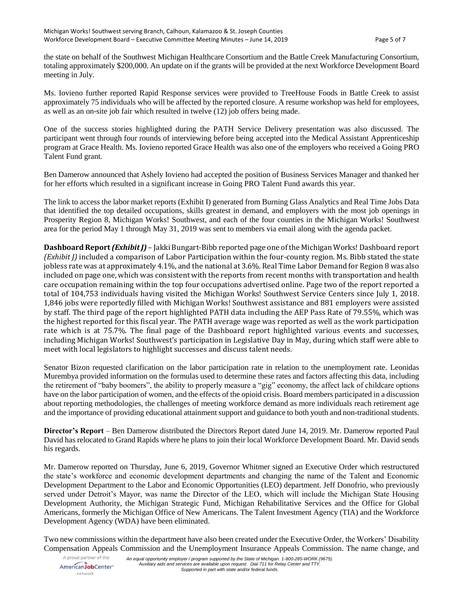the state on behalf of the Southwest Michigan Healthcare Consortium and the Battle Creek Manufacturing Consortium, totaling approximately \$200,000. An update on if the grants will be provided at the next Workforce Development Board meeting in July.

Ms. Iovieno further reported Rapid Response services were provided to TreeHouse Foods in Battle Creek to assist approximately 75 individuals who will be affected by the reported closure. A resume workshop was held for employees, as well as an on-site job fair which resulted in twelve (12) job offers being made.

One of the success stories highlighted during the PATH Service Delivery presentation was also discussed. The participant went through four rounds of interviewing before being accepted into the Medical Assistant Apprenticeship program at Grace Health. Ms. Iovieno reported Grace Health was also one of the employers who received a Going PRO Talent Fund grant.

Ben Damerow announced that Ashely Iovieno had accepted the position of Business Services Manager and thanked her for her efforts which resulted in a significant increase in Going PRO Talent Fund awards this year.

The link to access the labor market reports (Exhibit I) generated from Burning Glass Analytics and Real Time Jobs Data that identified the top detailed occupations, skills greatest in demand, and employers with the most job openings in Prosperity Region 8, Michigan Works! Southwest, and each of the four counties in the Michigan Works! Southwest area for the period May 1 through May 31, 2019 was sent to members via email along with the agenda packet.

**Dashboard Report** *(Exhibit J)* – Jakki Bungart-Bibb reported page one of the Michigan Works! Dashboard report *(Exhibit J)* included a comparison of Labor Participation within the four-county region. Ms. Bibb stated the state jobless rate was at approximately 4.1%, and the national at 3.6%. Real Time Labor Demand for Region 8 was also included on page one, which was consistent with the reports from recent months with transportation and health care occupation remaining within the top four occupations advertised online. Page two of the report reported a total of 104,753 individuals having visited the Michigan Works! Southwest Service Centers since July 1, 2018. 1,846 jobs were reportedly filled with Michigan Works! Southwest assistance and 881 employers were assisted by staff. The third page of the report highlighted PATH data including the AEP Pass Rate of 79.55%, which was the highest reported for this fiscal year. The PATH average wage was reported as well as the work participation rate which is at 75.7%. The final page of the Dashboard report highlighted various events and successes, including Michigan Works! Southwest's participation in Legislative Day in May, during which staff were able to meet with local legislators to highlight successes and discuss talent needs.

Senator Bizon requested clarification on the labor participation rate in relation to the unemployment rate. Leonidas Murembya provided information on the formulas used to determine these rates and factors affecting this data, including the retirement of "baby boomers", the ability to properly measure a "gig" economy, the affect lack of childcare options have on the labor participation of women, and the effects of the opioid crisis. Board members participated in a discussion about reporting methodologies, the challenges of meeting workforce demand as more individuals reach retirement age and the importance of providing educational attainment support and guidance to both youth and non-traditional students.

**Director's Report** – Ben Damerow distributed the Directors Report dated June 14, 2019. Mr. Damerow reported Paul David has relocated to Grand Rapids where he plans to join their local Workforce Development Board. Mr. David sends his regards.

Mr. Damerow reported on Thursday, June 6, 2019, Governor Whitmer signed an Executive Order which restructured the state's workforce and economic development departments and changing the name of the Talent and Economic Development Department to the Labor and Economic Opportunities (LEO) department. Jeff Donofrio, who previously served under Detroit's Mayor, was name the Director of the LEO, which will include the Michigan State Housing Development Authority, the Michigan Strategic Fund, Michigan Rehabilitative Services and the Office for Global Americans, formerly the Michigan Office of New Americans. The Talent Investment Agency (TIA) and the Workforce Development Agency (WDA) have been eliminated.

Two new commissions within the department have also been created under the Executive Order, the Workers' Disability Compensation Appeals Commission and the Unemployment Insurance Appeals Commission. The name change, and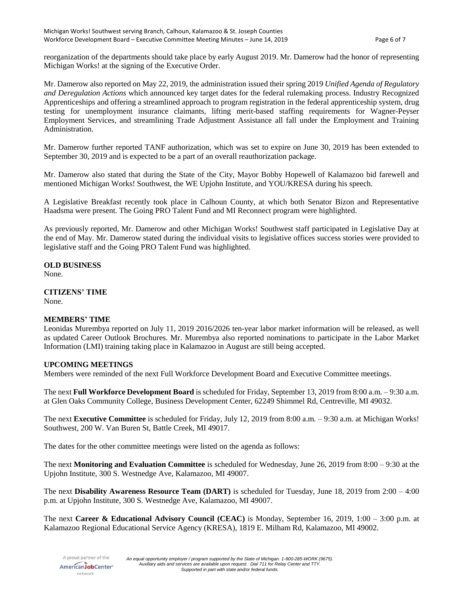reorganization of the departments should take place by early August 2019. Mr. Damerow had the honor of representing Michigan Works! at the signing of the Executive Order.

Mr. Damerow also reported on May 22, 2019, the administration issued their spring 2019 *Unified Agenda of Regulatory and Deregulation Actions* which announced key target dates for the federal rulemaking process. Industry Recognized Apprenticeships and offering a streamlined approach to program registration in the federal apprenticeship system, drug testing for unemployment insurance claimants, lifting merit-based staffing requirements for Wagner-Peyser Employment Services, and streamlining Trade Adjustment Assistance all fall under the Employment and Training Administration.

Mr. Damerow further reported TANF authorization, which was set to expire on June 30, 2019 has been extended to September 30, 2019 and is expected to be a part of an overall reauthorization package.

Mr. Damerow also stated that during the State of the City, Mayor Bobby Hopewell of Kalamazoo bid farewell and mentioned Michigan Works! Southwest, the WE Upjohn Institute, and YOU/KRESA during his speech.

A Legislative Breakfast recently took place in Calhoun County, at which both Senator Bizon and Representative Haadsma were present. The Going PRO Talent Fund and MI Reconnect program were highlighted.

As previously reported, Mr. Damerow and other Michigan Works! Southwest staff participated in Legislative Day at the end of May. Mr. Damerow stated during the individual visits to legislative offices success stories were provided to legislative staff and the Going PRO Talent Fund was highlighted.

# **OLD BUSINESS**

None.

**CITIZENS' TIME** None.

#### **MEMBERS' TIME**

Leonidas Murembya reported on July 11, 2019 2016/2026 ten-year labor market information will be released, as well as updated Career Outlook Brochures. Mr. Murembya also reported nominations to participate in the Labor Market Information (LMI) training taking place in Kalamazoo in August are still being accepted.

# **UPCOMING MEETINGS**

Members were reminded of the next Full Workforce Development Board and Executive Committee meetings.

The next **Full Workforce Development Board** is scheduled for Friday, September 13, 2019 from 8:00 a.m. – 9:30 a.m. at Glen Oaks Community College, Business Development Center, 62249 Shimmel Rd, Centreville, MI 49032.

The next **Executive Committee** is scheduled for Friday, July 12, 2019 from 8:00 a.m. – 9:30 a.m. at Michigan Works! Southwest, 200 W. Van Buren St, Battle Creek, MI 49017.

The dates for the other committee meetings were listed on the agenda as follows:

The next **Monitoring and Evaluation Committee** is scheduled for Wednesday, June 26, 2019 from 8:00 – 9:30 at the Upjohn Institute, 300 S. Westnedge Ave, Kalamazoo, MI 49007.

The next **Disability Awareness Resource Team (DART)** is scheduled for Tuesday, June 18, 2019 from 2:00 – 4:00 p.m. at Upjohn Institute, 300 S. Westnedge Ave, Kalamazoo, MI 49007.

The next **Career & Educational Advisory Council (CEAC)** is Monday, September 16, 2019, 1:00 – 3:00 p.m. at Kalamazoo Regional Educational Service Agency (KRESA), 1819 E. Milham Rd, Kalamazoo, MI 49002.